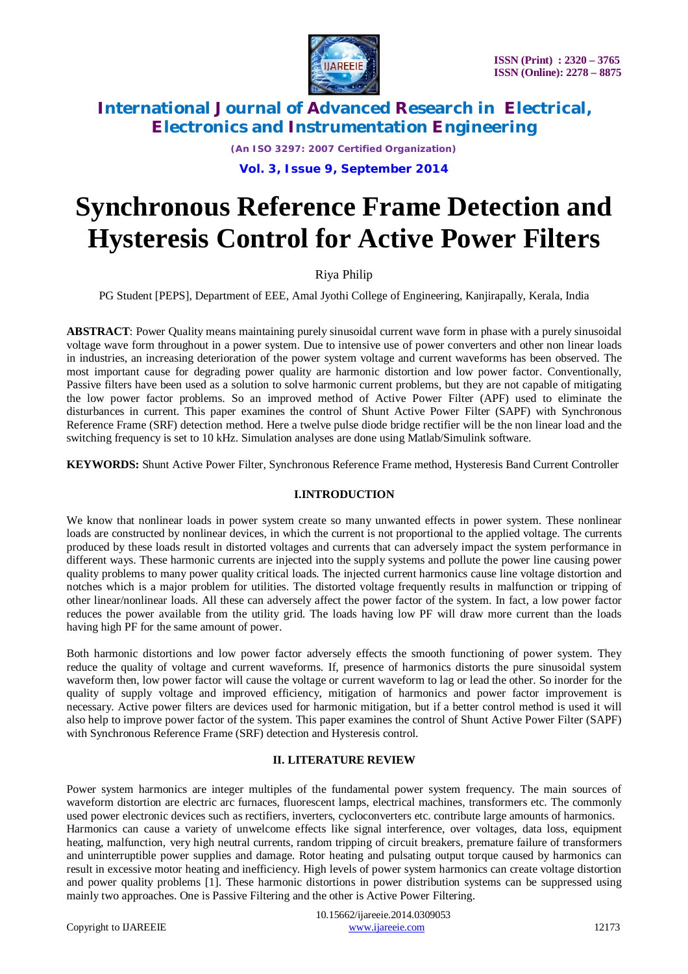

*(An ISO 3297: 2007 Certified Organization)*

### **Vol. 3, Issue 9, September 2014**

# **Synchronous Reference Frame Detection and Hysteresis Control for Active Power Filters**

## Riya Philip

PG Student [PEPS], Department of EEE, Amal Jyothi College of Engineering, Kanjirapally, Kerala, India

**ABSTRACT**: Power Quality means maintaining purely sinusoidal current wave form in phase with a purely sinusoidal voltage wave form throughout in a power system. Due to intensive use of power converters and other non linear loads in industries, an increasing deterioration of the power system voltage and current waveforms has been observed. The most important cause for degrading power quality are harmonic distortion and low power factor. Conventionally, Passive filters have been used as a solution to solve harmonic current problems, but they are not capable of mitigating the low power factor problems. So an improved method of Active Power Filter (APF) used to eliminate the disturbances in current. This paper examines the control of Shunt Active Power Filter (SAPF) with Synchronous Reference Frame (SRF) detection method. Here a twelve pulse diode bridge rectifier will be the non linear load and the switching frequency is set to 10 kHz. Simulation analyses are done using Matlab/Simulink software.

**KEYWORDS:** Shunt Active Power Filter, Synchronous Reference Frame method, Hysteresis Band Current Controller

### **I.INTRODUCTION**

We know that nonlinear loads in power system create so many unwanted effects in power system. These nonlinear loads are constructed by nonlinear devices, in which the current is not proportional to the applied voltage. The currents produced by these loads result in distorted voltages and currents that can adversely impact the system performance in different ways. These harmonic currents are injected into the supply systems and pollute the power line causing power quality problems to many power quality critical loads. The injected current harmonics cause line voltage distortion and notches which is a major problem for utilities. The distorted voltage frequently results in malfunction or tripping of other linear/nonlinear loads. All these can adversely affect the power factor of the system. In fact, a low power factor reduces the power available from the utility grid. The loads having low PF will draw more current than the loads having high PF for the same amount of power.

Both harmonic distortions and low power factor adversely effects the smooth functioning of power system. They reduce the quality of voltage and current waveforms. If, presence of harmonics distorts the pure sinusoidal system waveform then, low power factor will cause the voltage or current waveform to lag or lead the other. So inorder for the quality of supply voltage and improved efficiency, mitigation of harmonics and power factor improvement is necessary. Active power filters are devices used for harmonic mitigation, but if a better control method is used it will also help to improve power factor of the system. This paper examines the control of Shunt Active Power Filter (SAPF) with Synchronous Reference Frame (SRF) detection and Hysteresis control.

### **II. LITERATURE REVIEW**

Power system harmonics are integer multiples of the fundamental power system frequency. The main sources of waveform distortion are electric arc furnaces, fluorescent lamps, electrical machines, transformers etc. The commonly used power electronic devices such as rectifiers, inverters, cycloconverters etc. contribute large amounts of harmonics. Harmonics can cause a variety of unwelcome effects like signal interference, over voltages, data loss, equipment heating, malfunction, very high neutral currents, random tripping of circuit breakers, premature failure of transformers and uninterruptible power supplies and damage. Rotor heating and pulsating output torque caused by harmonics can result in excessive motor heating and inefficiency. High levels of power system harmonics can create voltage distortion and power quality problems [1]. These harmonic distortions in power distribution systems can be suppressed using mainly two approaches. One is Passive Filtering and the other is Active Power Filtering.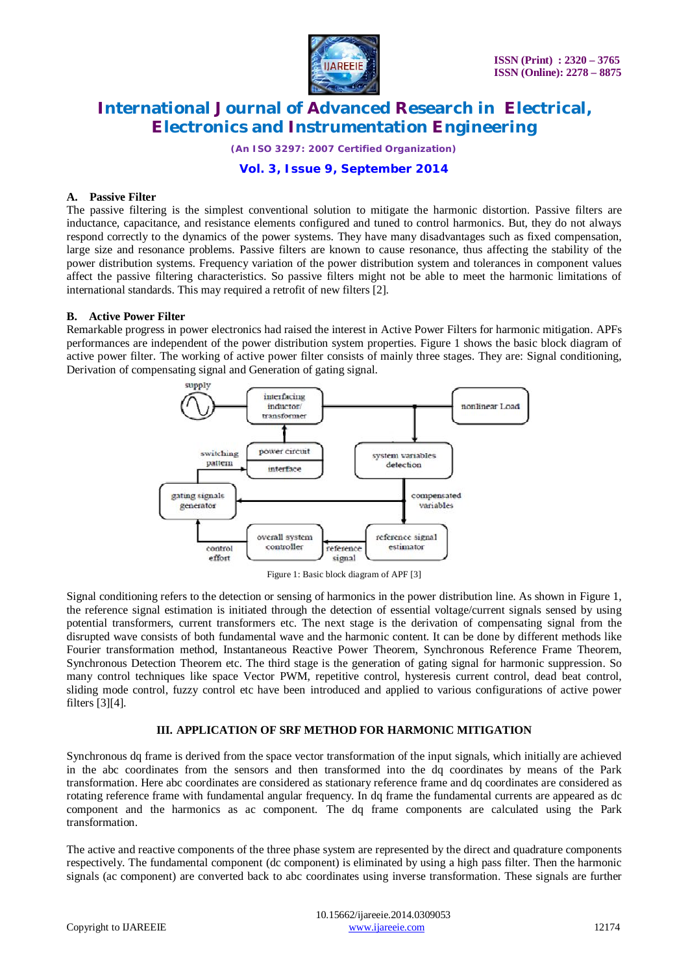

*(An ISO 3297: 2007 Certified Organization)*

### **Vol. 3, Issue 9, September 2014**

#### **A. Passive Filter**

The passive filtering is the simplest conventional solution to mitigate the harmonic distortion. Passive filters are inductance, capacitance, and resistance elements configured and tuned to control harmonics. But, they do not always respond correctly to the dynamics of the power systems. They have many disadvantages such as fixed compensation, large size and resonance problems. Passive filters are known to cause resonance, thus affecting the stability of the power distribution systems. Frequency variation of the power distribution system and tolerances in component values affect the passive filtering characteristics. So passive filters might not be able to meet the harmonic limitations of international standards. This may required a retrofit of new filters [2].

### **B. Active Power Filter**

Remarkable progress in power electronics had raised the interest in Active Power Filters for harmonic mitigation. APFs performances are independent of the power distribution system properties. Figure 1 shows the basic block diagram of active power filter. The working of active power filter consists of mainly three stages. They are: Signal conditioning, Derivation of compensating signal and Generation of gating signal.



Figure 1: Basic block diagram of APF [3]

Signal conditioning refers to the detection or sensing of harmonics in the power distribution line. As shown in Figure 1, the reference signal estimation is initiated through the detection of essential voltage/current signals sensed by using potential transformers, current transformers etc. The next stage is the derivation of compensating signal from the disrupted wave consists of both fundamental wave and the harmonic content. It can be done by different methods like Fourier transformation method, Instantaneous Reactive Power Theorem, Synchronous Reference Frame Theorem, Synchronous Detection Theorem etc. The third stage is the generation of gating signal for harmonic suppression. So many control techniques like space Vector PWM, repetitive control, hysteresis current control, dead beat control, sliding mode control, fuzzy control etc have been introduced and applied to various configurations of active power filters [3][4].

### **III. APPLICATION OF SRF METHOD FOR HARMONIC MITIGATION**

Synchronous dq frame is derived from the space vector transformation of the input signals, which initially are achieved in the abc coordinates from the sensors and then transformed into the dq coordinates by means of the Park transformation. Here abc coordinates are considered as stationary reference frame and dq coordinates are considered as rotating reference frame with fundamental angular frequency. In dq frame the fundamental currents are appeared as dc component and the harmonics as ac component. The dq frame components are calculated using the Park transformation.

The active and reactive components of the three phase system are represented by the direct and quadrature components respectively. The fundamental component (dc component) is eliminated by using a high pass filter. Then the harmonic signals (ac component) are converted back to abc coordinates using inverse transformation. These signals are further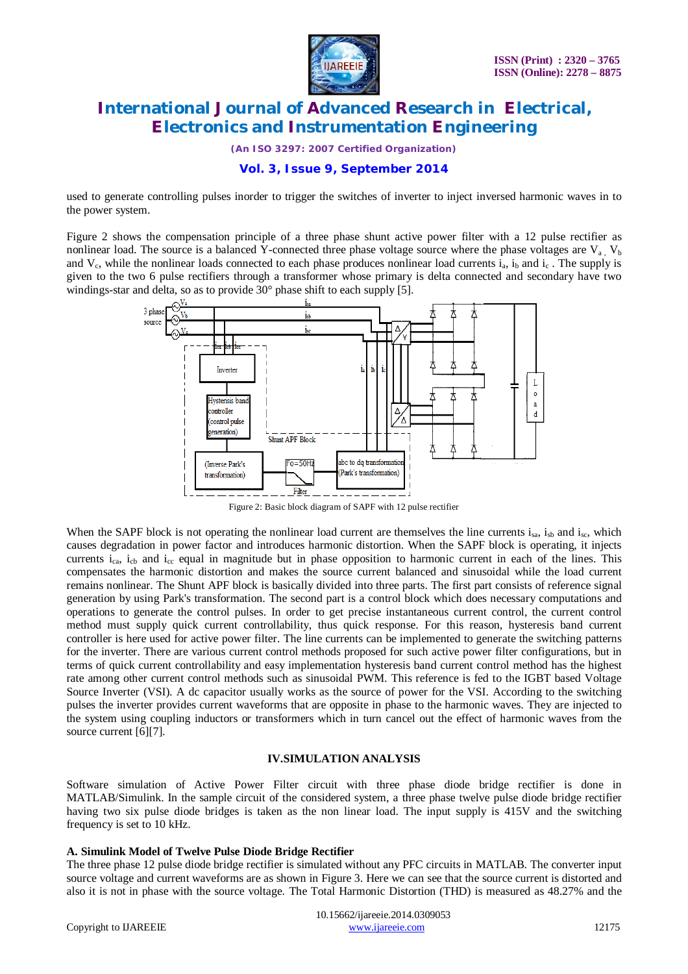

*(An ISO 3297: 2007 Certified Organization)*

### **Vol. 3, Issue 9, September 2014**

used to generate controlling pulses inorder to trigger the switches of inverter to inject inversed harmonic waves in to the power system.

Figure 2 shows the compensation principle of a three phase shunt active power filter with a 12 pulse rectifier as nonlinear load. The source is a balanced Y-connected three phase voltage source where the phase voltages are  $V_a$ ,  $V_b$ and  $V_c$ , while the nonlinear loads connected to each phase produces nonlinear load currents  $i_a$ ,  $i_b$  and  $i_c$ . The supply is given to the two 6 pulse rectifiers through a transformer whose primary is delta connected and secondary have two windings-star and delta, so as to provide  $30^{\circ}$  phase shift to each supply [5].



Figure 2: Basic block diagram of SAPF with 12 pulse rectifier

When the SAPF block is not operating the nonlinear load current are themselves the line currents  $i_{sa}$ ,  $i_{sb}$  and  $i_{sc}$ , which causes degradation in power factor and introduces harmonic distortion. When the SAPF block is operating, it injects currents i<sub>ca</sub>, i<sub>cb</sub> and i<sub>cc</sub> equal in magnitude but in phase opposition to harmonic current in each of the lines. This compensates the harmonic distortion and makes the source current balanced and sinusoidal while the load current remains nonlinear. The Shunt APF block is basically divided into three parts. The first part consists of reference signal generation by using Park's transformation. The second part is a control block which does necessary computations and operations to generate the control pulses. In order to get precise instantaneous current control, the current control method must supply quick current controllability, thus quick response. For this reason, hysteresis band current controller is here used for active power filter. The line currents can be implemented to generate the switching patterns for the inverter. There are various current control methods proposed for such active power filter configurations, but in terms of quick current controllability and easy implementation hysteresis band current control method has the highest rate among other current control methods such as sinusoidal PWM. This reference is fed to the IGBT based Voltage Source Inverter (VSI). A dc capacitor usually works as the source of power for the VSI. According to the switching pulses the inverter provides current waveforms that are opposite in phase to the harmonic waves. They are injected to the system using coupling inductors or transformers which in turn cancel out the effect of harmonic waves from the source current [6][7].

#### **IV.SIMULATION ANALYSIS**

Software simulation of Active Power Filter circuit with three phase diode bridge rectifier is done in MATLAB/Simulink. In the sample circuit of the considered system, a three phase twelve pulse diode bridge rectifier having two six pulse diode bridges is taken as the non linear load. The input supply is 415V and the switching frequency is set to 10 kHz.

#### **A. Simulink Model of Twelve Pulse Diode Bridge Rectifier**

The three phase 12 pulse diode bridge rectifier is simulated without any PFC circuits in MATLAB. The converter input source voltage and current waveforms are as shown in Figure 3. Here we can see that the source current is distorted and also it is not in phase with the source voltage. The Total Harmonic Distortion (THD) is measured as 48.27% and the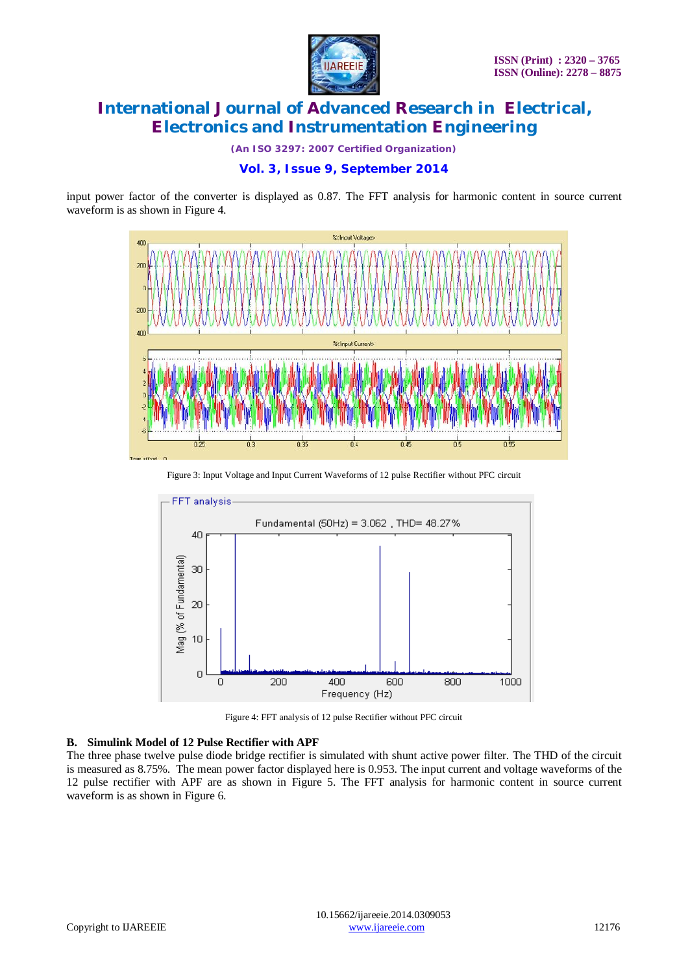

*(An ISO 3297: 2007 Certified Organization)*

input power factor of the converter is displayed as 0.87. The FFT analysis for harmonic content in source current waveform is as shown in Figure 4.



Figure 3: Input Voltage and Input Current Waveforms of 12 pulse Rectifier without PFC circuit



Figure 4: FFT analysis of 12 pulse Rectifier without PFC circuit

#### **B. Simulink Model of 12 Pulse Rectifier with APF**

The three phase twelve pulse diode bridge rectifier is simulated with shunt active power filter. The THD of the circuit is measured as 8.75%. The mean power factor displayed here is 0.953. The input current and voltage waveforms of the 12 pulse rectifier with APF are as shown in Figure 5. The FFT analysis for harmonic content in source current waveform is as shown in Figure 6.

**Vol. 3, Issue 9, September 2014**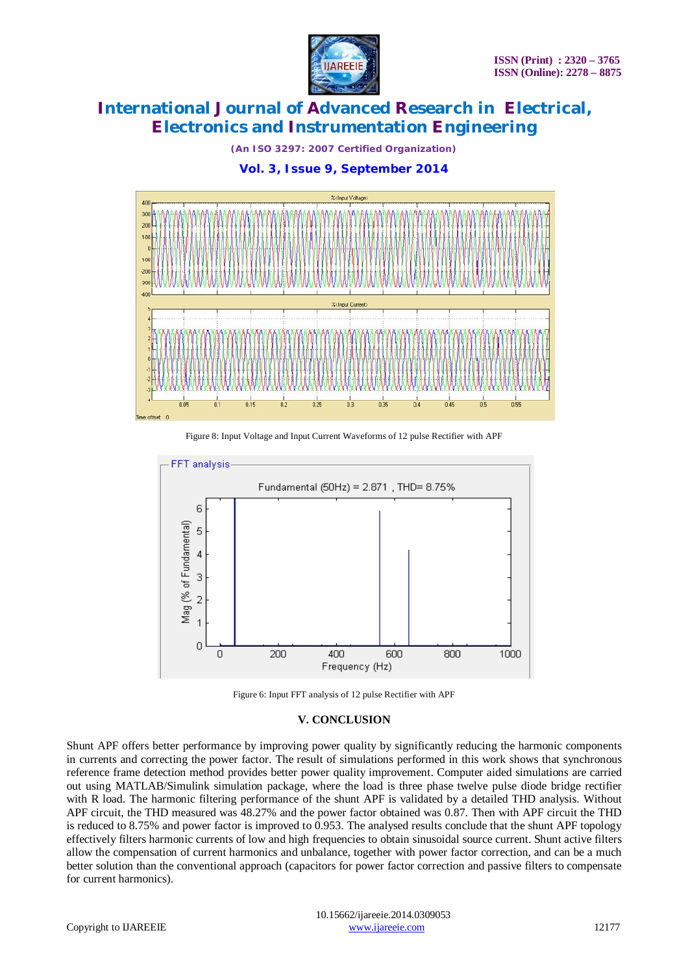

*(An ISO 3297: 2007 Certified Organization)*





Figure 8: Input Voltage and Input Current Waveforms of 12 pulse Rectifier with APF





#### **V. CONCLUSION**

Shunt APF offers better performance by improving power quality by significantly reducing the harmonic components in currents and correcting the power factor. The result of simulations performed in this work shows that synchronous reference frame detection method provides better power quality improvement. Computer aided simulations are carried out using MATLAB/Simulink simulation package, where the load is three phase twelve pulse diode bridge rectifier with R load. The harmonic filtering performance of the shunt APF is validated by a detailed THD analysis. Without APF circuit, the THD measured was 48.27% and the power factor obtained was 0.87. Then with APF circuit the THD is reduced to 8.75% and power factor is improved to 0.953. The analysed results conclude that the shunt APF topology effectively filters harmonic currents of low and high frequencies to obtain sinusoidal source current. Shunt active filters allow the compensation of current harmonics and unbalance, together with power factor correction, and can be a much better solution than the conventional approach (capacitors for power factor correction and passive filters to compensate for current harmonics).